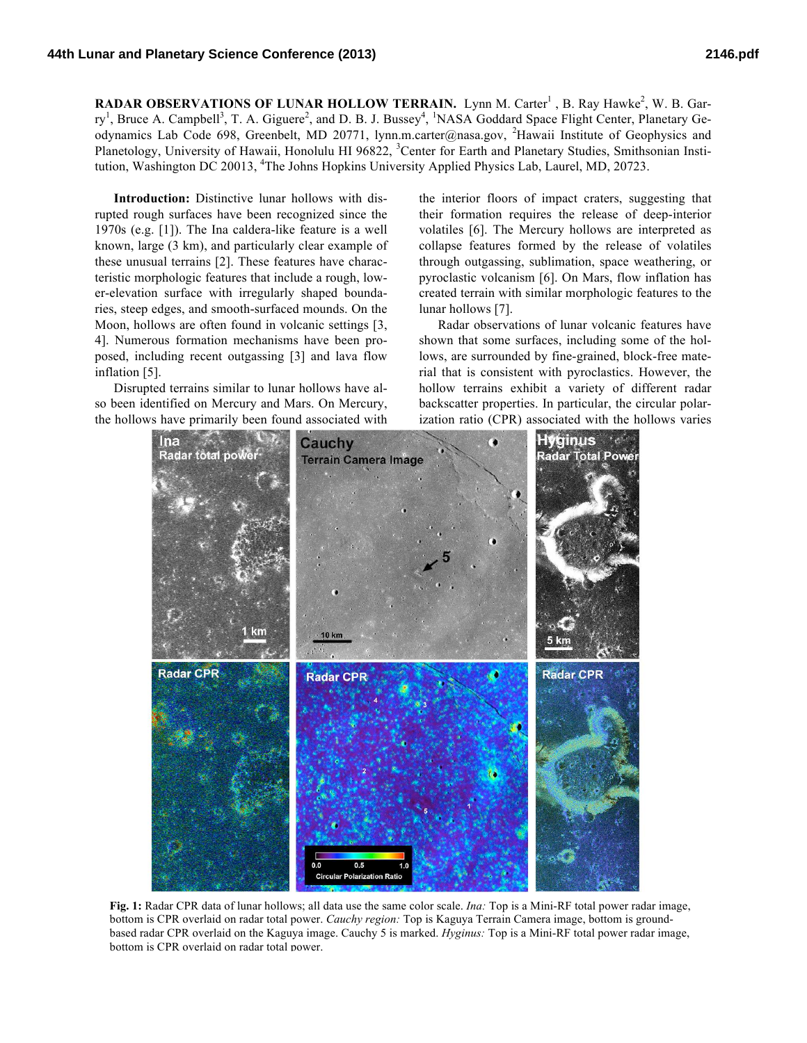**RADAR OBSERVATIONS OF LUNAR HOLLOW TERRAIN.** Lynn M. Carter<sup>1</sup>, B. Ray Hawke<sup>2</sup>, W. B. Garry<sup>1</sup>, Bruce A. Campbell<sup>3</sup>, T. A. Giguere<sup>2</sup>, and D. B. J. Bussey<sup>4</sup>, <sup>1</sup>NASA Goddard Space Flight Center, Planetary Geodynamics Lab Code 698, Greenbelt, MD 20771, lynn.m.carter@nasa.gov, <sup>2</sup>Hawaii Institute of Geophysics and Planetology, University of Hawaii, Honolulu HI 96822, <sup>3</sup>Center for Earth and Planetary Studies, Smithsonian Institution, Washington DC 20013, <sup>4</sup>The Johns Hopkins University Applied Physics Lab, Laurel, MD, 20723.

**Introduction:** Distinctive lunar hollows with disrupted rough surfaces have been recognized since the 1970s (e.g. [1]). The Ina caldera-like feature is a well known, large (3 km), and particularly clear example of these unusual terrains [2]. These features have characteristic morphologic features that include a rough, lower-elevation surface with irregularly shaped boundaries, steep edges, and smooth-surfaced mounds. On the Moon, hollows are often found in volcanic settings [3, 4]. Numerous formation mechanisms have been proposed, including recent outgassing [3] and lava flow inflation [5].

Disrupted terrains similar to lunar hollows have also been identified on Mercury and Mars. On Mercury, the hollows have primarily been found associated with the interior floors of impact craters, suggesting that their formation requires the release of deep-interior volatiles [6]. The Mercury hollows are interpreted as collapse features formed by the release of volatiles through outgassing, sublimation, space weathering, or pyroclastic volcanism [6]. On Mars, flow inflation has created terrain with similar morphologic features to the lunar hollows [7].

Radar observations of lunar volcanic features have shown that some surfaces, including some of the hollows, are surrounded by fine-grained, block-free material that is consistent with pyroclastics. However, the hollow terrains exhibit a variety of different radar backscatter properties. In particular, the circular polarization ratio (CPR) associated with the hollows varies



**Fig. 1:** Radar CPR data of lunar hollows; all data use the same color scale. *Ina:* Top is a Mini-RF total power radar image, bottom is CPR overlaid on radar total power. *Cauchy region:* Top is Kaguya Terrain Camera image, bottom is groundbased radar CPR overlaid on the Kaguya image. Cauchy 5 is marked. *Hyginus:* Top is a Mini-RF total power radar image, bottom is CPR overlaid on radar total power.